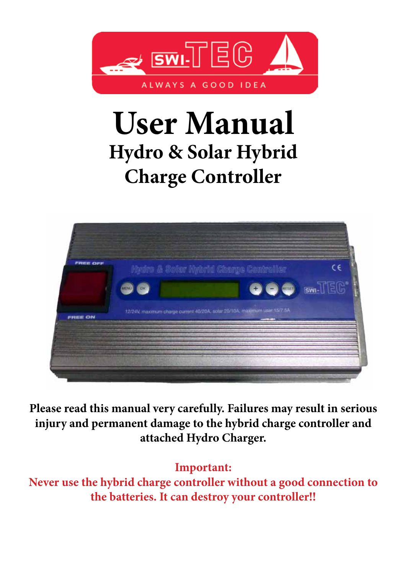

# **User Manual Hydro & Solar Hybrid Charge Controller**



**Please read this manual very carefully. Failures may result in serious injury and permanent damage to the hybrid charge controller and attached Hydro Charger.** 

## **Important:**

**Never use the hybrid charge controller without a good connection to the batteries. It can destroy your controller!!**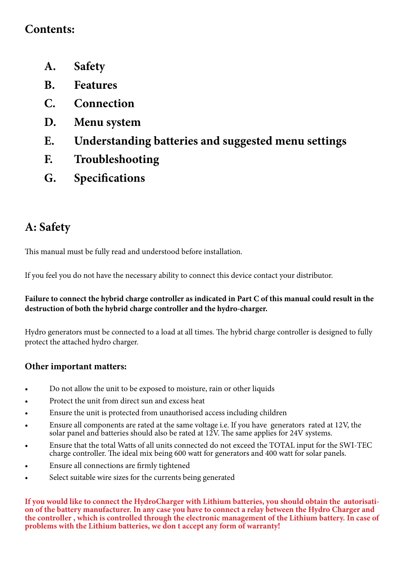## **Contents:**

- **A. Safety**
- **B. Features**
- **C. Connection**
- **D. Menu system**
- **E. Understanding batteries and suggested menu settings**
- **F. Troubleshooting**
- **G. Specifications**

# **A: Safety**

This manual must be fully read and understood before installation.

If you feel you do not have the necessary ability to connect this device contact your distributor.

#### **Failure to connect the hybrid charge controller as indicated in Part C of this manual could result in the destruction of both the hybrid charge controller and the hydro-charger.**

Hydro generators must be connected to a load at all times. The hybrid charge controller is designed to fully protect the attached hydro charger.

### **Other important matters:**

- Do not allow the unit to be exposed to moisture, rain or other liquids
- Protect the unit from direct sun and excess heat
- Ensure the unit is protected from unauthorised access including children
- Ensure all components are rated at the same voltage i.e. If you have generators rated at 12V, the solar panel and batteries should also be rated at 12V. The same applies for 24V systems.
- Ensure that the total Watts of all units connected do not exceed the TOTAL input for the SWI-TEC charge controller. The ideal mix being 600 watt for generators and 400 watt for solar panels.
- Ensure all connections are firmly tightened
- Select suitable wire sizes for the currents being generated

**If you would like to connect the HydroCharger with Lithium batteries, you should obtain the autorisation of the battery manufacturer. In any case you have to connect a relay between the Hydro Charger and the controller , which is controlled through the electronic management of the Lithium battery. In case of problems with the Lithium batteries, we don t accept any form of warranty!**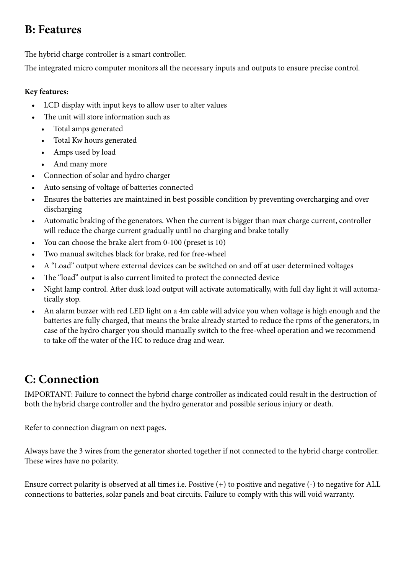## **B: Features**

The hybrid charge controller is a smart controller.

The integrated micro computer monitors all the necessary inputs and outputs to ensure precise control.

#### **Key features:**

- LCD display with input keys to allow user to alter values
- The unit will store information such as
	- • Total amps generated
	- • Total Kw hours generated
	- • Amps used by load
	- And many more
- Connection of solar and hydro charger
- Auto sensing of voltage of batteries connected
- Ensures the batteries are maintained in best possible condition by preventing overcharging and over discharging
- Automatic braking of the generators. When the current is bigger than max charge current, controller will reduce the charge current gradually until no charging and brake totally
- You can choose the brake alert from 0-100 (preset is 10)
- Two manual switches black for brake, red for free-wheel
- A "Load" output where external devices can be switched on and off at user determined voltages
- The "load" output is also current limited to protect the connected device
- Night lamp control. After dusk load output will activate automatically, with full day light it will automatically stop.
- An alarm buzzer with red LED light on a 4m cable will advice you when voltage is high enough and the batteries are fully charged, that means the brake already started to reduce the rpms of the generators, in case of the hydro charger you should manually switch to the free-wheel operation and we recommend to take off the water of the HC to reduce drag and wear.

# **C: Connection**

IMPORTANT: Failure to connect the hybrid charge controller as indicated could result in the destruction of both the hybrid charge controller and the hydro generator and possible serious injury or death.

Refer to connection diagram on next pages.

Always have the 3 wires from the generator shorted together if not connected to the hybrid charge controller. These wires have no polarity.

Ensure correct polarity is observed at all times i.e. Positive (+) to positive and negative (-) to negative for ALL connections to batteries, solar panels and boat circuits. Failure to comply with this will void warranty.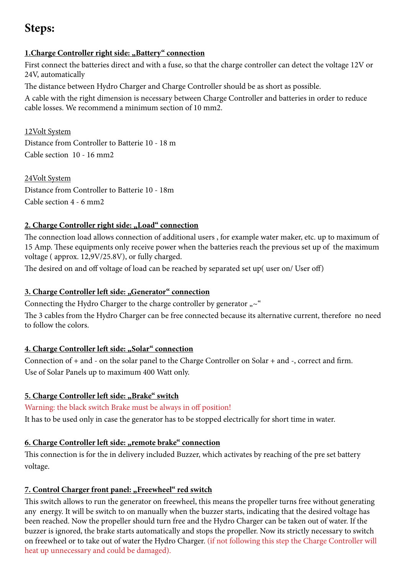## **Steps:**

#### **1.Charge Controller right side: "Battery" connection**

First connect the batteries direct and with a fuse, so that the charge controller can detect the voltage 12V or 24V, automatically

The distance between Hydro Charger and Charge Controller should be as short as possible.

A cable with the right dimension is necessary between Charge Controller and batteries in order to reduce cable losses. We recommend a minimum section of 10 mm2.

12Volt System Distance from Controller to Batterie 10 - 18 m Cable section 10 - 16 mm2

24Volt System Distance from Controller to Batterie 10 - 18m Cable section 4 - 6 mm2

#### 2. Charge Controller right side: "Load" connection

The connection load allows connection of additional users , for example water maker, etc. up to maximum of 15 Amp. These equipments only receive power when the batteries reach the previous set up of the maximum voltage ( approx. 12,9V/25.8V), or fully charged.

The desired on and off voltage of load can be reached by separated set up( user on/ User off)

#### **3. Charge Controller left side: "Generator" connection**

Connecting the Hydro Charger to the charge controller by generator  $\sim$ "

The 3 cables from the Hydro Charger can be free connected because its alternative current, therefore no need to follow the colors.

#### **4. Charge Controller left side: "Solar" connection**

Connection of + and - on the solar panel to the Charge Controller on Solar + and -, correct and firm. Use of Solar Panels up to maximum 400 Watt only.

#### **5. Charge Controller left side: "Brake" switch**

#### Warning: the black switch Brake must be always in off position!

It has to be used only in case the generator has to be stopped electrically for short time in water.

#### **<u>6. Charge Controller left side: "remote brake" connection</u>**

This connection is for the in delivery included Buzzer, which activates by reaching of the pre set battery voltage.

#### 7. Control Charger front panel: "Freewheel" red switch

This switch allows to run the generator on freewheel, this means the propeller turns free without generating any energy. It will be switch to on manually when the buzzer starts, indicating that the desired voltage has been reached. Now the propeller should turn free and the Hydro Charger can be taken out of water. If the buzzer is ignored, the brake starts automatically and stops the propeller. Now its strictly necessary to switch on freewheel or to take out of water the Hydro Charger. (if not following this step the Charge Controller will heat up unnecessary and could be damaged).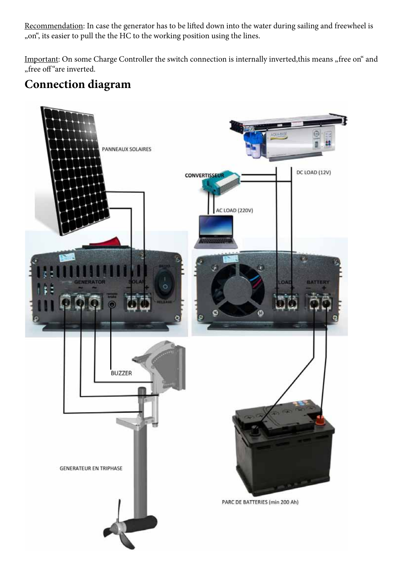Recommendation: In case the generator has to be lifted down into the water during sailing and freewheel is "on", its easier to pull the the HC to the working position using the lines.

Important: On some Charge Controller the switch connection is internally inverted, this means "free on" and "free off"are inverted.

## **Connection diagram**

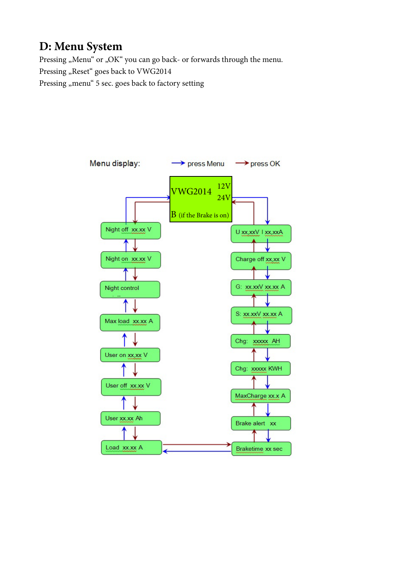## **D: Menu System**

Pressing "Menu" or "OK" you can go back- or forwards through the menu.

Pressing "Reset" goes back to VWG2014

Pressing "menu" 5 sec. goes back to factory setting

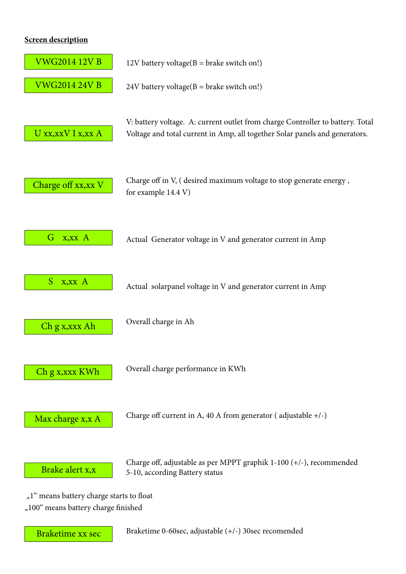#### **Screen description**



Braketime xx sec

Braketime 0-60sec, adjustable (+/-) 30sec recomended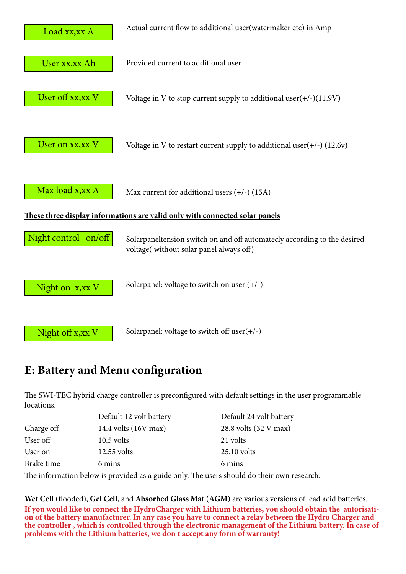

## **E: Battery and Menu configuration**

The SWI-TEC hybrid charge controller is preconfigured with default settings in the user programmable locations.

|            | Default 12 volt battery | Default 24 volt battery |
|------------|-------------------------|-------------------------|
| Charge off | 14.4 volts (16V max)    | 28.8 volts (32 V max)   |
| User off   | $10.5$ volts            | 21 volts                |
| User on    | 12.55 volts             | $25.10$ volts           |
| Brake time | 6 mins                  | 6 mins                  |

The information below is provided as a guide only. The users should do their own research.

**Wet Cell** (flooded), **Gel Cell**, and **Absorbed Glass Mat (AGM)** are various versions of lead acid batteries. **If you would like to connect the HydroCharger with Lithium batteries, you should obtain the autorisation of the battery manufacturer. In any case you have to connect a relay between the Hydro Charger and the controller , which is controlled through the electronic management of the Lithium battery. In case of problems with the Lithium batteries, we don t accept any form of warranty!**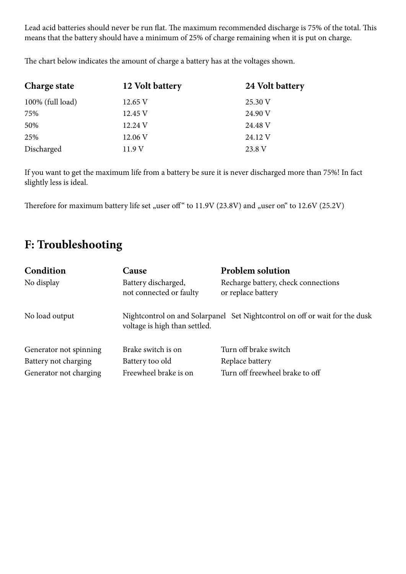Lead acid batteries should never be run flat. The maximum recommended discharge is 75% of the total. This means that the battery should have a minimum of 25% of charge remaining when it is put on charge.

**Charge state 12 Volt battery 24 Volt battery** 100% (full load) 12.65 V 25.30 V  $75\%$   $12.45 \text{ V}$   $24.90 \text{ V}$  $50\%$   $12.24 \text{ V}$   $24.48 \text{ V}$  $25\%$   $12.06 \text{ V}$   $24.12 \text{ V}$ Discharged 11.9 V 23.8 V

The chart below indicates the amount of charge a battery has at the voltages shown.

If you want to get the maximum life from a battery be sure it is never discharged more than 75%! In fact slightly less is ideal.

Therefore for maximum battery life set "user off" to 11.9V (23.8V) and "user on" to 12.6V (25.2V)

## **F: Troubleshooting**

| Condition                                                                | Cause                                                                                                        | <b>Problem solution</b>                                                     |
|--------------------------------------------------------------------------|--------------------------------------------------------------------------------------------------------------|-----------------------------------------------------------------------------|
| No display                                                               | Battery discharged,<br>not connected or faulty                                                               | Recharge battery, check connections<br>or replace battery                   |
| No load output                                                           | Nightcontrol on and Solarpanel Set Nightcontrol on off or wait for the dusk<br>voltage is high than settled. |                                                                             |
| Generator not spinning<br>Battery not charging<br>Generator not charging | Brake switch is on<br>Battery too old<br>Freewheel brake is on                                               | Turn off brake switch<br>Replace battery<br>Turn off freewheel brake to off |